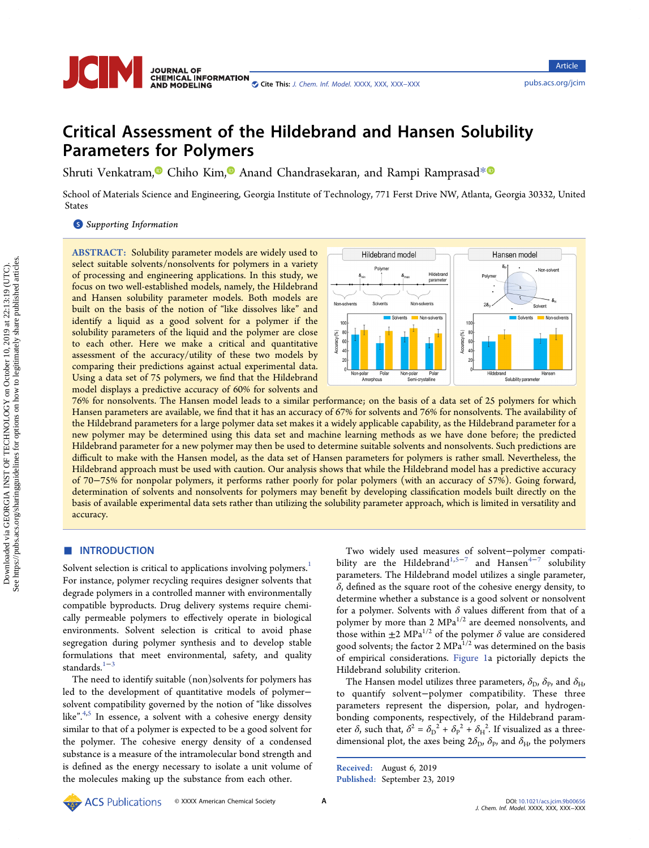

# Critical Assessment of the Hildebrand and Hansen Solubility Parameters for Polymers

Shruti Venkatram,<sup>®</sup> Chiho Kim,<sup>®</sup> Anand Chandrasekaran, and Rampi Ramprasad<sup>[\\*](#page-5-0)®</sup>

School of Materials Science and Engineering, Georgia Institute of Technology, 771 Ferst Drive NW, Atlanta, Georgia 30332, United States

**S** [Supporting Information](#page-4-0)

ABSTRACT: Solubility parameter models are widely used to select suitable solvents/nonsolvents for polymers in a variety of processing and engineering applications. In this study, we focus on two well-established models, namely, the Hildebrand and Hansen solubility parameter models. Both models are built on the basis of the notion of "like dissolves like" and identify a liquid as a good solvent for a polymer if the solubility parameters of the liquid and the polymer are close to each other. Here we make a critical and quantitative assessment of the accuracy/utility of these two models by comparing their predictions against actual experimental data. Using a data set of 75 polymers, we find that the Hildebrand model displays a predictive accuracy of 60% for solvents and



76% for nonsolvents. The Hansen model leads to a similar performance; on the basis of a data set of 25 polymers for which Hansen parameters are available, we find that it has an accuracy of 67% for solvents and 76% for nonsolvents. The availability of the Hildebrand parameters for a large polymer data set makes it a widely applicable capability, as the Hildebrand parameter for a new polymer may be determined using this data set and machine learning methods as we have done before; the predicted Hildebrand parameter for a new polymer may then be used to determine suitable solvents and nonsolvents. Such predictions are difficult to make with the Hansen model, as the data set of Hansen parameters for polymers is rather small. Nevertheless, the Hildebrand approach must be used with caution. Our analysis shows that while the Hildebrand model has a predictive accuracy of 70−75% for nonpolar polymers, it performs rather poorly for polar polymers (with an accuracy of 57%). Going forward, determination of solvents and nonsolvents for polymers may benefit by developing classification models built directly on the basis of available experimental data sets rather than utilizing the solubility parameter approach, which is limited in versatility and accuracy.

### ■ INTRODUCTION

Solvent selection is critical to applications involving polymers.<sup>[1](#page-5-0)</sup> For instance, polymer recycling requires designer solvents that degrade polymers in a controlled manner with environmentally compatible byproducts. Drug delivery systems require chemically permeable polymers to effectively operate in biological environments. Solvent selection is critical to avoid phase segregation during polymer synthesis and to develop stable formulations that meet environmental, safety, and quality standards.<sup>[1](#page-5-0)−[3](#page-5-0)</sup>

The need to identify suitable (non)solvents for polymers has led to the development of quantitative models of polymer− solvent compatibility governed by the notion of "like dissolves like".<sup>[4,5](#page-5-0)</sup> In essence, a solvent with a cohesive energy density similar to that of a polymer is expected to be a good solvent for the polymer. The cohesive energy density of a condensed substance is a measure of the intramolecular bond strength and is defined as the energy necessary to isolate a unit volume of the molecules making up the substance from each other.

Two widely used measures of solvent−polymer compati-bility are the Hildebrand<sup>[1](#page-5-0),[5](#page-5-0)−[7](#page-5-0)</sup> and Hansen<sup>[4](#page-5-0)−7</sup> solubility parameters. The Hildebrand model utilizes a single parameter, δ, defined as the square root of the cohesive energy density, to determine whether a substance is a good solvent or nonsolvent for a polymer. Solvents with  $\delta$  values different from that of a polymer by more than 2  $MPa^{1/2}$  are deemed nonsolvents, and those within  $\pm 2$  MPa<sup>1/2</sup> of the polymer  $\delta$  value are considered good solvents; the factor 2 MPa<sup>1/2</sup> was determined on the basis of empirical considerations. [Figure 1a](#page-1-0) pictorially depicts the Hildebrand solubility criterion.

The Hansen model utilizes three parameters,  $\delta_{\rm D}$ ,  $\delta_{\rm P}$ , and  $\delta_{\rm H}$ , to quantify solvent−polymer compatibility. These three parameters represent the dispersion, polar, and hydrogenbonding components, respectively, of the Hildebrand parameter  $\delta$ , such that,  $\delta^2 = {\delta_D}^2 + {\delta_P}^2 + {\delta_H}^2$ . If visualized as a threedimensional plot, the axes being  $2\delta_{\rm D}$ ,  $\delta_{\rm p}$ , and  $\delta_{\rm H}$ , the polymers

Received: August 6, 2019 Published: September 23, 2019

**ACS** Publications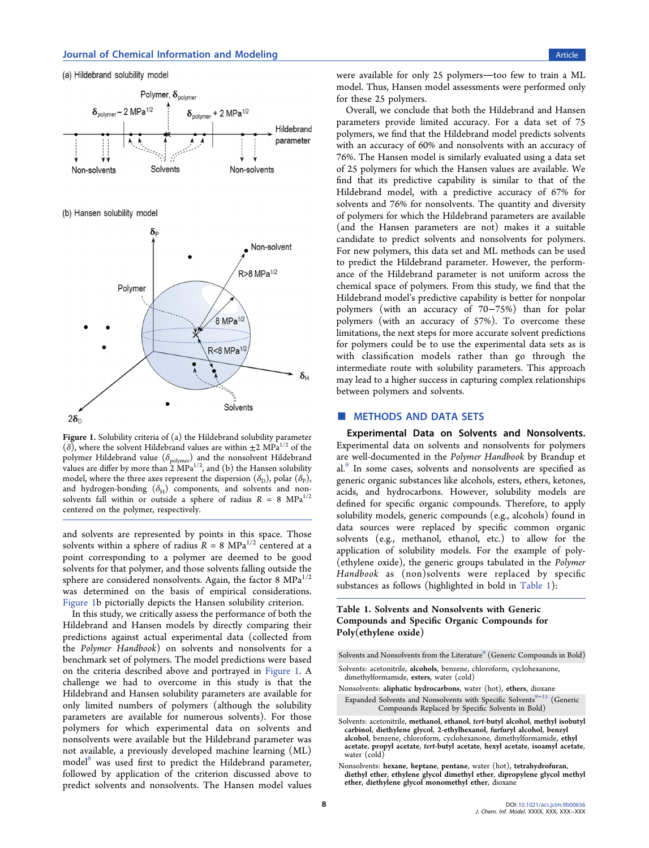<span id="page-1-0"></span>

Figure 1. Solubility criteria of (a) the Hildebrand solubility parameter ( $\delta$ ), where the solvent Hildebrand values are within  $\pm 2$  MPa<sup>1/2</sup> of the polymer Hildebrand value  $(\delta_{\text{polymer}})$  and the nonsolvent Hildebrand values are differ by more than  $2 \text{ MPa}^{1/2}$ , and (b) the Hansen solubility model, where the three axes represent the dispersion  $(\delta_{\rm D})$ , polar  $(\delta_{\rm P})$ , and hydrogen-bonding  $(\delta_H)$  components, and solvents and nonsolvents fall within or outside a sphere of radius  $R = 8$  MPa<sup>1/2</sup> centered on the polymer, respectively.

and solvents are represented by points in this space. Those solvents within a sphere of radius  $R = 8 \text{ MPa}^{1/2}$  centered at a point corresponding to a polymer are deemed to be good solvents for that polymer, and those solvents falling outside the sphere are considered nonsolvents. Again, the factor 8  $MPa^{1/2}$ was determined on the basis of empirical considerations. Figure 1b pictorially depicts the Hansen solubility criterion.

In this study, we critically assess the performance of both the Hildebrand and Hansen models by directly comparing their predictions against actual experimental data (collected from the Polymer Handbook) on solvents and nonsolvents for a benchmark set of polymers. The model predictions were based on the criteria described above and portrayed in Figure 1. A challenge we had to overcome in this study is that the Hildebrand and Hansen solubility parameters are available for only limited numbers of polymers (although the solubility parameters are available for numerous solvents). For those polymers for which experimental data on solvents and nonsolvents were available but the Hildebrand parameter was not available, a previously developed machine learning (ML) model<sup>8</sup> was used first to predict the Hildebrand parameter, followed by application of the criterion discussed above to predict solvents and nonsolvents. The Hansen model values were available for only 25 polymers-too few to train a ML model. Thus, Hansen model assessments were performed only for these 25 polymers.

Overall, we conclude that both the Hildebrand and Hansen parameters provide limited accuracy. For a data set of 75 polymers, we find that the Hildebrand model predicts solvents with an accuracy of 60% and nonsolvents with an accuracy of 76%. The Hansen model is similarly evaluated using a data set of 25 polymers for which the Hansen values are available. We find that its predictive capability is similar to that of the Hildebrand model, with a predictive accuracy of 67% for solvents and 76% for nonsolvents. The quantity and diversity of polymers for which the Hildebrand parameters are available (and the Hansen parameters are not) makes it a suitable candidate to predict solvents and nonsolvents for polymers. For new polymers, this data set and ML methods can be used to predict the Hildebrand parameter. However, the performance of the Hildebrand parameter is not uniform across the chemical space of polymers. From this study, we find that the Hildebrand model's predictive capability is better for nonpolar polymers (with an accuracy of 70−75%) than for polar polymers (with an accuracy of 57%). To overcome these limitations, the next steps for more accurate solvent predictions for polymers could be to use the experimental data sets as is with classification models rather than go through the intermediate route with solubility parameters. This approach may lead to a higher success in capturing complex relationships between polymers and solvents.

### ■ METHODS AND DATA SETS

Experimental Data on Solvents and Nonsolvents. Experimental data on solvents and nonsolvents for polymers are well-documented in the Polymer Handbook by Brandup et al.<sup>[9](#page-5-0)</sup> In some cases, solvents and nonsolvents are specified as generic organic substances like alcohols, esters, ethers, ketones, acids, and hydrocarbons. However, solubility models are defined for specific organic compounds. Therefore, to apply solubility models, generic compounds (e.g., alcohols) found in data sources were replaced by specific common organic solvents (e.g., methanol, ethanol, etc.) to allow for the application of solubility models. For the example of poly- (ethylene oxide), the generic groups tabulated in the Polymer Handbook as (non)solvents were replaced by specific substances as follows (highlighted in bold in Table 1):

### Table 1. Solvents and Nonsolvents with Generic Compounds and Specific Organic Compounds for Poly(ethylene oxide)

Solvents and Nonsolvents from the Literature<sup>9</sup> (Generic Compounds in Bold)

- Solvents: acetonitrile, alcohols, benzene, chloroform, cyclohexanone, dimethylformamide, esters, water (cold)
- Nonsolvents: aliphatic hydrocarbons, water (hot), ethers, dioxane Expanded Solvents and Nonsolvents with Specific Solvents $^{9-11}$  $^{9-11}$  $^{9-11}$  $^{9-11}$  $^{9-11}$  (Generic Compounds Replaced by Specific Solvents in Bold)
- Solvents: acetonitrile, methanol, ethanol, tert-butyl alcohol, methyl isobutyl carbinol, diethylene glycol, 2-ethylhexanol, furfuryl alcohol, benzyl acetate, propyl acetate, tert-butyl acetate, hexyl acetate, isoamyl acetate, water (cold)
- Nonsolvents: hexane, heptane, pentane, water (hot), tetrahydrofuran, diethyl ether, ethylene glycol dimethyl ether, dipropylene glycol methyl ether, diethylene glycol monomethyl ether, dioxane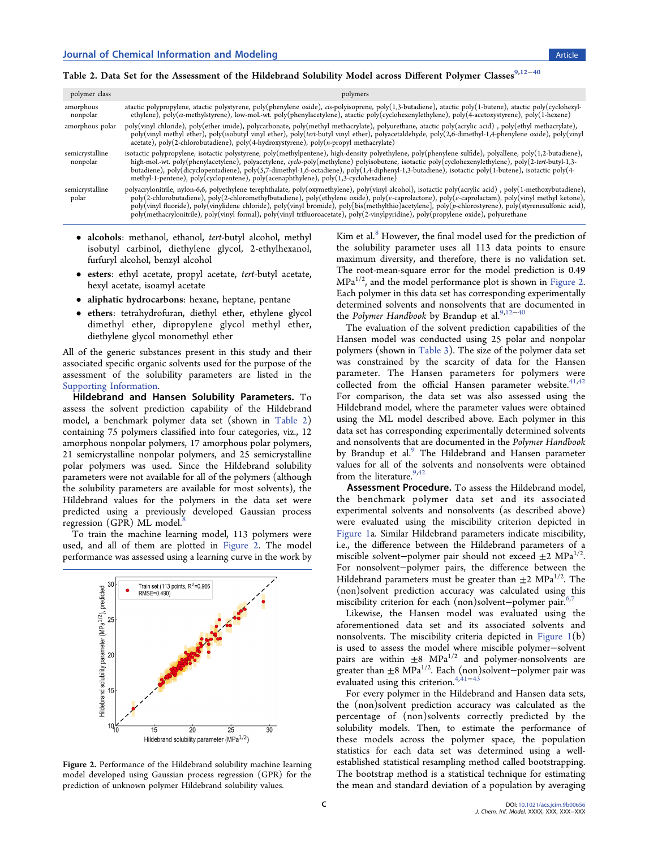# Table 2. Data Set for the Assessment of the Hildebrand Solubility Model across Different Polymer Classes<sup>[9,12](#page-5-0)−[40](#page-6-0)</sup>

| polymer class               | polymers                                                                                                                                                                                                                                                                                                                                                                                                                                                                                                                                                                                                                                     |
|-----------------------------|----------------------------------------------------------------------------------------------------------------------------------------------------------------------------------------------------------------------------------------------------------------------------------------------------------------------------------------------------------------------------------------------------------------------------------------------------------------------------------------------------------------------------------------------------------------------------------------------------------------------------------------------|
| amorphous<br>nonpolar       | atactic polypropylene, atactic polystyrene, poly(phenylene oxide), cis-polyisoprene, poly(1,3-butadiene), atactic poly(1-butene), atactic poly(cyclohexyl-<br>ethylene), poly(a-methylstyrene), low-mol.-wt. poly(phenylacetylene), atactic poly(cyclohexenylethylene), poly(4-acetoxystyrene), poly(1-hexene)                                                                                                                                                                                                                                                                                                                               |
| amorphous polar             | poly(vinyl chloride), poly(ether imide), polycarbonate, poly(methyl methacrylate), polyurethane, atactic poly(acrylic acid), poly(ethyl methacrylate),<br>poly(vinyl methyl ether), poly(isobutyl vinyl ether), poly(tert-butyl vinyl ether), polyacetaldehyde, poly(2,6-dimethyl-1,4-phenylene oxide), poly(vinyl<br>acetate), poly(2-chlorobutadiene), poly(4-hydroxystyrene), poly(n-propyl methacrylate)                                                                                                                                                                                                                                 |
| semicrystalline<br>nonpolar | isotactic polypropylene, isotactic polystyrene, poly(methylpentene), high-density polyethylene, poly(phenylene sulfide), polyallene, poly(1,2-butadiene),<br>high-mol.-wt. poly(phenylacetylene), polyacetylene, cyclo-poly(methylene) polyisobutene, isotactic poly(cyclohexenylethylene), poly(2-tert-butyl-1,3-<br>butadiene), poly(dicyclopentadiene), poly(5,7-dimethyl-1,6-octadiene), poly(1,4-diphenyl-1,3-butadiene), isotactic poly(1-butene), isotactic poly(4-<br>methyl-1-pentene), poly(cyclopentene), poly(acenaphthylene), poly(1,3-cyclohexadiene)                                                                          |
| semicrystalline<br>polar    | polyacrylonitrile, nylon-6,6, polyethylene terephthalate, poly(oxymethylene), poly(vinyl alcohol), isotactic poly(acrylic acid), poly(1-methoxybutadiene),<br>poly(2-chlorobutadiene), poly(2-chloromethylbutadiene), poly(ethylene oxide), poly( $\epsilon$ -caprolactone), poly( $\epsilon$ -caprolactam), poly(vinyl methyl ketone),<br>poly(vinyl fluoride), poly(vinylidene chloride), poly(vinyl bromide), poly[bis(methylthio)acetylene], poly(p-chlorostyrene), poly(styrenesulfonic acid),<br>poly(methacrylonitrile), poly(vinyl formal), poly(vinyl trifluoroacetate), poly(2-vinylpyridine), poly(propylene oxide), polyurethane |

- alcohols: methanol, ethanol, tert-butyl alcohol, methyl isobutyl carbinol, diethylene glycol, 2-ethylhexanol, furfuryl alcohol, benzyl alcohol
- esters: ethyl acetate, propyl acetate, tert-butyl acetate, hexyl acetate, isoamyl acetate
- aliphatic hydrocarbons: hexane, heptane, pentane
- ethers: tetrahydrofuran, diethyl ether, ethylene glycol dimethyl ether, dipropylene glycol methyl ether, diethylene glycol monomethyl ether

All of the generic substances present in this study and their associated specific organic solvents used for the purpose of the assessment of the solubility parameters are listed in the [Supporting Information.](http://pubs.acs.org/doi/suppl/10.1021/acs.jcim.9b00656/suppl_file/ci9b00656_si_002.pdf)

Hildebrand and Hansen Solubility Parameters. To assess the solvent prediction capability of the Hildebrand model, a benchmark polymer data set (shown in Table 2) containing 75 polymers classified into four categories, viz., 12 amorphous nonpolar polymers, 17 amorphous polar polymers, 21 semicrystalline nonpolar polymers, and 25 semicrystalline polar polymers was used. Since the Hildebrand solubility parameters were not available for all of the polymers (although the solubility parameters are available for most solvents), the Hildebrand values for the polymers in the data set were predicted using a previously developed Gaussian process regression (GPR)  $ML$  model.<sup>[8](#page-5-0)</sup>

To train the machine learning model, 113 polymers were used, and all of them are plotted in Figure 2. The model performance was assessed using a learning curve in the work by



Figure 2. Performance of the Hildebrand solubility machine learning model developed using Gaussian process regression (GPR) for the prediction of unknown polymer Hildebrand solubility values.

Kim et al.<sup>[8](#page-5-0)</sup> However, the final model used for the prediction of the solubility parameter uses all 113 data points to ensure maximum diversity, and therefore, there is no validation set. The root-mean-square error for the model prediction is 0.49  $MPa^{1/2}$ , and the model performance plot is shown in Figure 2. Each polymer in this data set has corresponding experimentally determined solvents and nonsolvents that are documented in the Polymer Handbook by Brandup et al. $9,12$ 

The evaluation of the solvent prediction capabilities of the Hansen model was conducted using 25 polar and nonpolar polymers (shown in [Table 3\)](#page-3-0). The size of the polymer data set was constrained by the scarcity of data for the Hansen parameter. The Hansen parameters for polymers were collected from the official Hansen parameter website. $41,42$ For comparison, the data set was also assessed using the Hildebrand model, where the parameter values were obtained using the ML model described above. Each polymer in this data set has corresponding experimentally determined solvents and nonsolvents that are documented in the Polymer Handbook by Brandup et al.<sup>9</sup> The Hildebrand and Hansen parameter values for all of the solvents and nonsolvents were obtained from the literature. $9,42$  $9,42$ 

Assessment Procedure. To assess the Hildebrand model, the benchmark polymer data set and its associated experimental solvents and nonsolvents (as described above) were evaluated using the miscibility criterion depicted in [Figure 1](#page-1-0)a. Similar Hildebrand parameters indicate miscibility, i.e., the difference between the Hildebrand parameters of a miscible solvent–polymer pair should not exceed ±2 MPa<sup>1/2</sup>. For nonsolvent−polymer pairs, the difference between the Hildebrand parameters must be greater than  $\pm 2 \text{ MPa}^{1/2}$ . The (non)solvent prediction accuracy was calculated using this miscibility criterion for each (non)solvent-polymer pair.<sup>6,[7](#page-5-0)</sup>

Likewise, the Hansen model was evaluated using the aforementioned data set and its associated solvents and nonsolvents. The miscibility criteria depicted in [Figure 1\(](#page-1-0)b) is used to assess the model where miscible polymer−solvent pairs are within  $\pm 8$  MPa<sup>1/2</sup> and polymer-nonsolvents are greater than  $\pm 8$  MPa<sup>1/2</sup>. Each (non)solvent-polymer pair was evaluated using this criterion. $4,41-43$  $4,41-43$  $4,41-43$  $4,41-43$ 

For every polymer in the Hildebrand and Hansen data sets, the (non)solvent prediction accuracy was calculated as the percentage of (non)solvents correctly predicted by the solubility models. Then, to estimate the performance of these models across the polymer space, the population statistics for each data set was determined using a wellestablished statistical resampling method called bootstrapping. The bootstrap method is a statistical technique for estimating the mean and standard deviation of a population by averaging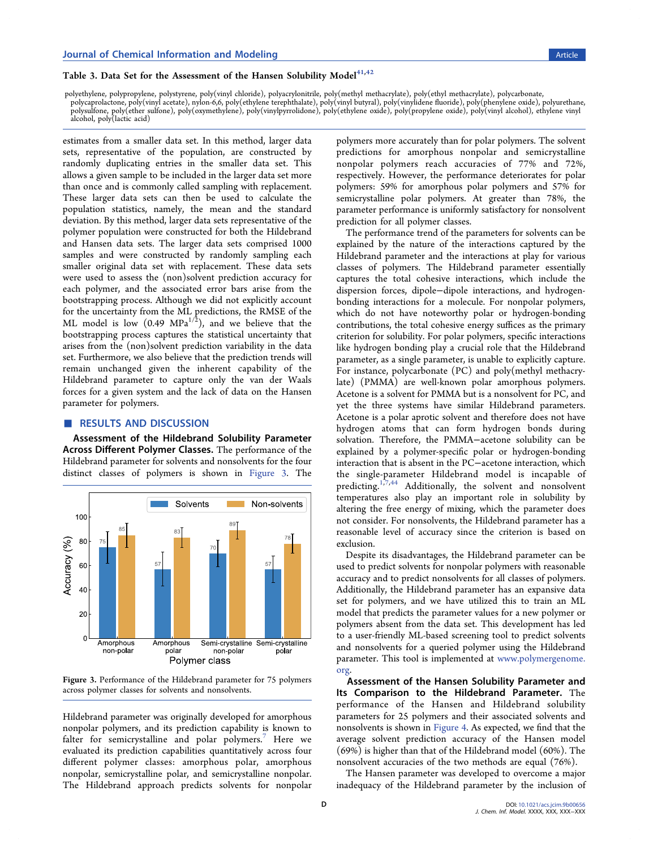## <span id="page-3-0"></span>Table 3. Data Set for the Assessment of the Hansen Solubility Model $^{41,42}$  $^{41,42}$  $^{41,42}$  $^{41,42}$  $^{41,42}$

polyethylene, polypropylene, polystyrene, poly(vinyl chloride), polyacrylonitrile, poly(methyl methacrylate), poly(ethyl methacrylate), polycarbonate,<br>polycaprolactone, poly(vinyl acetate), nylon-6,6, poly(ethylene terepht polysulfone, poly(ether sulfone), poly(oxymethylene), poly(vinylpyrrolidone), poly(vinyl butyral), poly(vinylidene fluoride), poly(phenylene oxide), polyurethane<br>alcohol, poly(lactic acid)<br>alcohol, poly(lactic acid)

estimates from a smaller data set. In this method, larger data sets, representative of the population, are constructed by randomly duplicating entries in the smaller data set. This allows a given sample to be included in the larger data set more than once and is commonly called sampling with replacement. These larger data sets can then be used to calculate the population statistics, namely, the mean and the standard deviation. By this method, larger data sets representative of the polymer population were constructed for both the Hildebrand and Hansen data sets. The larger data sets comprised 1000 samples and were constructed by randomly sampling each smaller original data set with replacement. These data sets were used to assess the (non)solvent prediction accuracy for each polymer, and the associated error bars arise from the bootstrapping process. Although we did not explicitly account for the uncertainty from the ML predictions, the RMSE of the ML model is low  $(0.49 \text{ MPa}^{1/2})$ , and we believe that the bootstrapping process captures the statistical uncertainty that arises from the (non)solvent prediction variability in the data set. Furthermore, we also believe that the prediction trends will remain unchanged given the inherent capability of the Hildebrand parameter to capture only the van der Waals forces for a given system and the lack of data on the Hansen parameter for polymers.

#### ■ RESULTS AND DISCUSSION

Assessment of the Hildebrand Solubility Parameter Across Different Polymer Classes. The performance of the Hildebrand parameter for solvents and nonsolvents for the four distinct classes of polymers is shown in Figure 3. The



Figure 3. Performance of the Hildebrand parameter for 75 polymers across polymer classes for solvents and nonsolvents.

Hildebrand parameter was originally developed for amorphous nonpolar polymers, and its prediction capability is known to falter for semicrystalline and polar polymers.<sup>[7](#page-5-0)</sup> Here we evaluated its prediction capabilities quantitatively across four different polymer classes: amorphous polar, amorphous nonpolar, semicrystalline polar, and semicrystalline nonpolar. The Hildebrand approach predicts solvents for nonpolar

polymers more accurately than for polar polymers. The solvent predictions for amorphous nonpolar and semicrystalline nonpolar polymers reach accuracies of 77% and 72%, respectively. However, the performance deteriorates for polar polymers: 59% for amorphous polar polymers and 57% for semicrystalline polar polymers. At greater than 78%, the parameter performance is uniformly satisfactory for nonsolvent prediction for all polymer classes.

The performance trend of the parameters for solvents can be explained by the nature of the interactions captured by the Hildebrand parameter and the interactions at play for various classes of polymers. The Hildebrand parameter essentially captures the total cohesive interactions, which include the dispersion forces, dipole−dipole interactions, and hydrogenbonding interactions for a molecule. For nonpolar polymers, which do not have noteworthy polar or hydrogen-bonding contributions, the total cohesive energy suffices as the primary criterion for solubility. For polar polymers, specific interactions like hydrogen bonding play a crucial role that the Hildebrand parameter, as a single parameter, is unable to explicitly capture. For instance, polycarbonate (PC) and poly(methyl methacrylate) (PMMA) are well-known polar amorphous polymers. Acetone is a solvent for PMMA but is a nonsolvent for PC, and yet the three systems have similar Hildebrand parameters. Acetone is a polar aprotic solvent and therefore does not have hydrogen atoms that can form hydrogen bonds during solvation. Therefore, the PMMA−acetone solubility can be explained by a polymer-specific polar or hydrogen-bonding interaction that is absent in the PC−acetone interaction, which the single-parameter Hildebrand model is incapable of predicting.<sup>[1,7](#page-5-0)[,44](#page-6-0)</sup> Additionally, the solvent and nonsolvent temperatures also play an important role in solubility by altering the free energy of mixing, which the parameter does not consider. For nonsolvents, the Hildebrand parameter has a reasonable level of accuracy since the criterion is based on exclusion.

Despite its disadvantages, the Hildebrand parameter can be used to predict solvents for nonpolar polymers with reasonable accuracy and to predict nonsolvents for all classes of polymers. Additionally, the Hildebrand parameter has an expansive data set for polymers, and we have utilized this to train an ML model that predicts the parameter values for a new polymer or polymers absent from the data set. This development has led to a user-friendly ML-based screening tool to predict solvents and nonsolvents for a queried polymer using the Hildebrand parameter. This tool is implemented at [www.polymergenome.](http://www.polymergenome.org) [org](http://www.polymergenome.org).

Assessment of the Hansen Solubility Parameter and Its Comparison to the Hildebrand Parameter. The performance of the Hansen and Hildebrand solubility parameters for 25 polymers and their associated solvents and nonsolvents is shown in [Figure 4.](#page-4-0) As expected, we find that the average solvent prediction accuracy of the Hansen model (69%) is higher than that of the Hildebrand model (60%). The nonsolvent accuracies of the two methods are equal (76%).

The Hansen parameter was developed to overcome a major inadequacy of the Hildebrand parameter by the inclusion of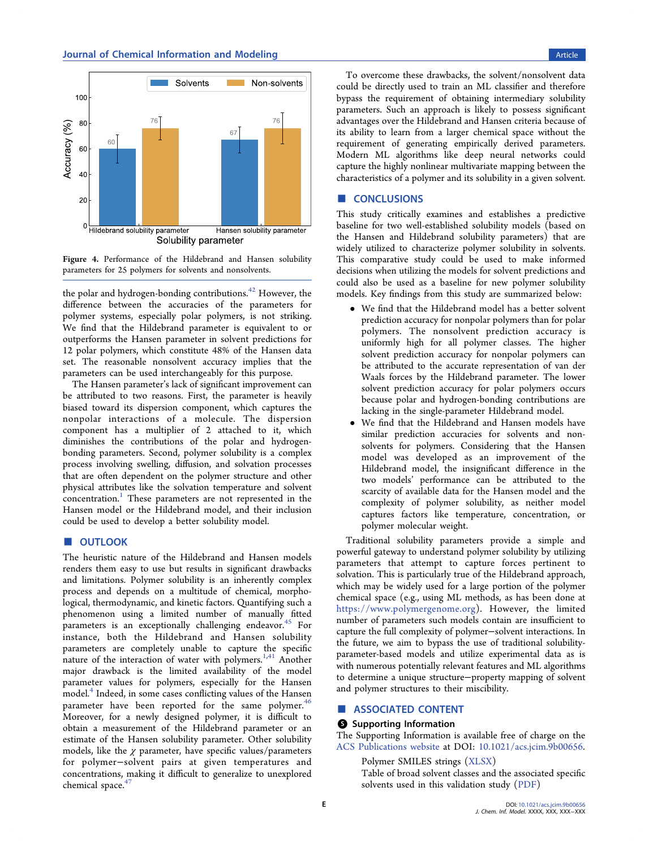<span id="page-4-0"></span>

Figure 4. Performance of the Hildebrand and Hansen solubility parameters for 25 polymers for solvents and nonsolvents.

the polar and hydrogen-bonding contributions. $42$  However, the difference between the accuracies of the parameters for polymer systems, especially polar polymers, is not striking. We find that the Hildebrand parameter is equivalent to or outperforms the Hansen parameter in solvent predictions for 12 polar polymers, which constitute 48% of the Hansen data set. The reasonable nonsolvent accuracy implies that the parameters can be used interchangeably for this purpose.

The Hansen parameter's lack of significant improvement can be attributed to two reasons. First, the parameter is heavily biased toward its dispersion component, which captures the nonpolar interactions of a molecule. The dispersion component has a multiplier of 2 attached to it, which diminishes the contributions of the polar and hydrogenbonding parameters. Second, polymer solubility is a complex process involving swelling, diffusion, and solvation processes that are often dependent on the polymer structure and other physical attributes like the solvation temperature and solvent concentration.<sup>1</sup> These parameters are not represented in the Hansen model or the Hildebrand model, and their inclusion could be used to develop a better solubility model.

### ■ OUTLOOK

The heuristic nature of the Hildebrand and Hansen models renders them easy to use but results in significant drawbacks and limitations. Polymer solubility is an inherently complex process and depends on a multitude of chemical, morphological, thermodynamic, and kinetic factors. Quantifying such a phenomenon using a limited number of manually fitted parameters is an exceptionally challenging endeavor.<sup>[45](#page-6-0)</sup> For instance, both the Hildebrand and Hansen solubility parameters are completely unable to capture the specific nature of the interaction of water with polymers.<sup>[1](#page-5-0)[,41](#page-6-0)</sup> Another major drawback is the limited availability of the model parameter values for polymers, especially for the Hansen model[.4](#page-5-0) Indeed, in some cases conflicting values of the Hansen parameter have been reported for the same polymer.<sup>[46](#page-6-0)</sup> Moreover, for a newly designed polymer, it is difficult to obtain a measurement of the Hildebrand parameter or an estimate of the Hansen solubility parameter. Other solubility models, like the  $\chi$  parameter, have specific values/parameters for polymer−solvent pairs at given temperatures and concentrations, making it difficult to generalize to unexplored chemical space.<sup>47</sup>

To overcome these drawbacks, the solvent/nonsolvent data could be directly used to train an ML classifier and therefore bypass the requirement of obtaining intermediary solubility parameters. Such an approach is likely to possess significant advantages over the Hildebrand and Hansen criteria because of its ability to learn from a larger chemical space without the requirement of generating empirically derived parameters. Modern ML algorithms like deep neural networks could capture the highly nonlinear multivariate mapping between the characteristics of a polymer and its solubility in a given solvent.

### ■ **CONCLUSIONS**

This study critically examines and establishes a predictive baseline for two well-established solubility models (based on the Hansen and Hildebrand solubility parameters) that are widely utilized to characterize polymer solubility in solvents. This comparative study could be used to make informed decisions when utilizing the models for solvent predictions and could also be used as a baseline for new polymer solubility models. Key findings from this study are summarized below:

- We find that the Hildebrand model has a better solvent prediction accuracy for nonpolar polymers than for polar polymers. The nonsolvent prediction accuracy is uniformly high for all polymer classes. The higher solvent prediction accuracy for nonpolar polymers can be attributed to the accurate representation of van der Waals forces by the Hildebrand parameter. The lower solvent prediction accuracy for polar polymers occurs because polar and hydrogen-bonding contributions are lacking in the single-parameter Hildebrand model.
- We find that the Hildebrand and Hansen models have similar prediction accuracies for solvents and nonsolvents for polymers. Considering that the Hansen model was developed as an improvement of the Hildebrand model, the insignificant difference in the two models' performance can be attributed to the scarcity of available data for the Hansen model and the complexity of polymer solubility, as neither model captures factors like temperature, concentration, or polymer molecular weight.

Traditional solubility parameters provide a simple and powerful gateway to understand polymer solubility by utilizing parameters that attempt to capture forces pertinent to solvation. This is particularly true of the Hildebrand approach, which may be widely used for a large portion of the polymer chemical space (e.g., using ML methods, as has been done at [https://www.polymergenome.org\)](https://www.polymergenome.org). However, the limited number of parameters such models contain are insufficient to capture the full complexity of polymer−solvent interactions. In the future, we aim to bypass the use of traditional solubilityparameter-based models and utilize experimental data as is with numerous potentially relevant features and ML algorithms to determine a unique structure−property mapping of solvent and polymer structures to their miscibility.

### ■ ASSOCIATED CONTENT

### **6** Supporting Information

The Supporting Information is available free of charge on the [ACS Publications website](http://pubs.acs.org) at DOI: [10.1021/acs.jcim.9b00656](http://pubs.acs.org/doi/abs/10.1021/acs.jcim.9b00656).

Polymer SMILES strings ([XLSX](http://pubs.acs.org/doi/suppl/10.1021/acs.jcim.9b00656/suppl_file/ci9b00656_si_001.xlsx))

Table of broad solvent classes and the associated specific solvents used in this validation study [\(PDF](http://pubs.acs.org/doi/suppl/10.1021/acs.jcim.9b00656/suppl_file/ci9b00656_si_002.pdf))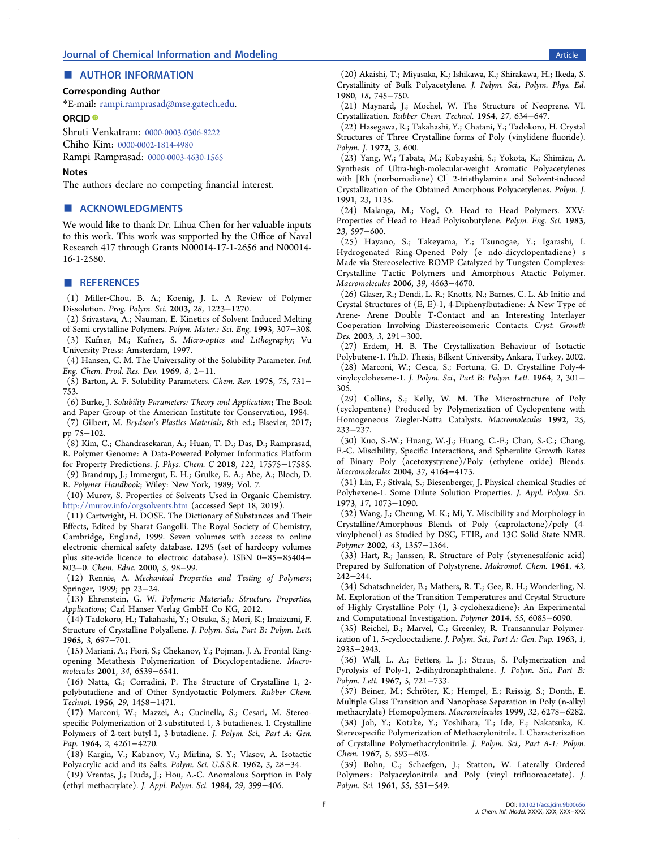### <span id="page-5-0"></span>■ AUTHOR INFORMATION

### Corresponding Author

\*E-mail: [rampi.ramprasad@mse.gatech.edu](mailto:rampi.ramprasad@mse.gatech.edu).

### ORCID<sup>®</sup>

Shruti Venkatram: [0000-0003-0306-8222](http://orcid.org/0000-0003-0306-8222)

Chiho Kim: [0000-0002-1814-4980](http://orcid.org/0000-0002-1814-4980)

Rampi Ramprasad: [0000-0003-4630-1565](http://orcid.org/0000-0003-4630-1565)

#### Notes

The authors declare no competing financial interest.

### ■ ACKNOWLEDGMENTS

We would like to thank Dr. Lihua Chen for her valuable inputs to this work. This work was supported by the Office of Naval Research 417 through Grants N00014-17-1-2656 and N00014- 16-1-2580.

#### ■ REFERENCES

(1) Miller-Chou, B. A.; Koenig, J. L. A Review of Polymer Dissolution. Prog. Polym. Sci. 2003, 28, 1223−1270.

(2) Srivastava, A.; Nauman, E. Kinetics of Solvent Induced Melting of Semi-crystalline Polymers. Polym. Mater.: Sci. Eng. 1993, 307−308.

(3) Kufner, M.; Kufner, S. Micro-optics and Lithography; Vu University Press: Amsterdam, 1997.

(4) Hansen, C. M. The Universality of the Solubility Parameter. Ind. Eng. Chem. Prod. Res. Dev. 1969, 8, 2−11.

(5) Barton, A. F. Solubility Parameters. Chem. Rev. 1975, 75, 731− 753.

(6) Burke, J. Solubility Parameters: Theory and Application; The Book and Paper Group of the American Institute for Conservation, 1984.

(7) Gilbert, M. Brydson's Plastics Materials, 8th ed.; Elsevier, 2017; pp 75−102.

(8) Kim, C.; Chandrasekaran, A.; Huan, T. D.; Das, D.; Ramprasad, R. Polymer Genome: A Data-Powered Polymer Informatics Platform for Property Predictions. J. Phys. Chem. C 2018, 122, 17575−17585.

(9) Brandrup, J.; Immergut, E. H.; Grulke, E. A.; Abe, A.; Bloch, D. R. Polymer Handbook; Wiley: New York, 1989; Vol. 7.

(10) Murov, S. Properties of Solvents Used in Organic Chemistry. <http://murov.info/orgsolvents.htm> (accessed Sept 18, 2019).

(11) Cartwright, H. DOSE. The Dictionary of Substances and Their Effects, Edited by Sharat Gangolli. The Royal Society of Chemistry, Cambridge, England, 1999. Seven volumes with access to online electronic chemical safety database. 1295 (set of hardcopy volumes plus site-wide licence to electroic database). ISBN 0−85−85404− 803−0. Chem. Educ. 2000, 5, 98−99.

(12) Rennie, A. Mechanical Properties and Testing of Polymers; Springer, 1999; pp 23−24.

(13) Ehrenstein, G. W. Polymeric Materials: Structure, Properties, Applications; Carl Hanser Verlag GmbH Co KG, 2012.

(14) Tadokoro, H.; Takahashi, Y.; Otsuka, S.; Mori, K.; Imaizumi, F. Structure of Crystalline Polyallene. J. Polym. Sci., Part B: Polym. Lett. 1965, 3, 697−701.

(15) Mariani, A.; Fiori, S.; Chekanov, Y.; Pojman, J. A. Frontal Ringopening Metathesis Polymerization of Dicyclopentadiene. Macromolecules 2001, 34, 6539−6541.

(16) Natta, G.; Corradini, P. The Structure of Crystalline 1, 2 polybutadiene and of Other Syndyotactic Polymers. Rubber Chem. Technol. 1956, 29, 1458−1471.

(17) Marconi, W.; Mazzei, A.; Cucinella, S.; Cesari, M. Stereospecific Polymerization of 2-substituted-1, 3-butadienes. I. Crystalline Polymers of 2-tert-butyl-1, 3-butadiene. J. Polym. Sci., Part A: Gen. Pap. 1964, 2, 4261−4270.

(18) Kargin, V.; Kabanov, V.; Mirlina, S. Y.; Vlasov, A. Isotactic Polyacrylic acid and its Salts. Polym. Sci. U.S.S.R. 1962, 3, 28−34.

(19) Vrentas, J.; Duda, J.; Hou, A.-C. Anomalous Sorption in Poly (ethyl methacrylate). J. Appl. Polym. Sci. 1984, 29, 399−406.

(20) Akaishi, T.; Miyasaka, K.; Ishikawa, K.; Shirakawa, H.; Ikeda, S. Crystallinity of Bulk Polyacetylene. J. Polym. Sci., Polym. Phys. Ed. 1980, 18, 745−750.

(21) Maynard, J.; Mochel, W. The Structure of Neoprene. VI. Crystallization. Rubber Chem. Technol. 1954, 27, 634−647.

(22) Hasegawa, R.; Takahashi, Y.; Chatani, Y.; Tadokoro, H. Crystal Structures of Three Crystalline forms of Poly (vinylidene fluoride). Polym. J. 1972, 3, 600.

(23) Yang, W.; Tabata, M.; Kobayashi, S.; Yokota, K.; Shimizu, A. Synthesis of Ultra-high-molecular-weight Aromatic Polyacetylenes with [Rh (norbornadiene) Cl] 2-triethylamine and Solvent-induced Crystallization of the Obtained Amorphous Polyacetylenes. Polym. J. 1991, 23, 1135.

(24) Malanga, M.; Vogl, O. Head to Head Polymers. XXV: Properties of Head to Head Polyisobutylene. Polym. Eng. Sci. 1983, 23, 597−600.

(25) Hayano, S.; Takeyama, Y.; Tsunogae, Y.; Igarashi, I. Hydrogenated Ring-Opened Poly (e ndo-dicyclopentadiene) s Made via Stereoselective ROMP Catalyzed by Tungsten Complexes: Crystalline Tactic Polymers and Amorphous Atactic Polymer. Macromolecules 2006, 39, 4663−4670.

(26) Glaser, R.; Dendi, L. R.; Knotts, N.; Barnes, C. L. Ab Initio and Crystal Structures of (E, E)-1, 4-Diphenylbutadiene: A New Type of Arene- Arene Double T-Contact and an Interesting Interlayer Cooperation Involving Diastereoisomeric Contacts. Cryst. Growth Des. 2003, 3, 291-300.

(27) Erdem, H. B. The Crystallization Behaviour of Isotactic Polybutene-1. Ph.D. Thesis, Bilkent University, Ankara, Turkey, 2002. (28) Marconi, W.; Cesca, S.; Fortuna, G. D. Crystalline Poly-4 vinylcyclohexene-1. J. Polym. Sci., Part B: Polym. Lett. 1964, 2, 301− 305.

(29) Collins, S.; Kelly, W. M. The Microstructure of Poly (cyclopentene) Produced by Polymerization of Cyclopentene with Homogeneous Ziegler-Natta Catalysts. Macromolecules 1992, 25, 233−237.

(30) Kuo, S.-W.; Huang, W.-J.; Huang, C.-F.; Chan, S.-C.; Chang, F.-C. Miscibility, Specific Interactions, and Spherulite Growth Rates of Binary Poly (acetoxystyrene)/Poly (ethylene oxide) Blends. Macromolecules 2004, 37, 4164−4173.

(31) Lin, F.; Stivala, S.; Biesenberger, J. Physical-chemical Studies of Polyhexene-1. Some Dilute Solution Properties. J. Appl. Polym. Sci. 1973, 17, 1073−1090.

(32) Wang, J.; Cheung, M. K.; Mi, Y. Miscibility and Morphology in Crystalline/Amorphous Blends of Poly (caprolactone)/poly (4 vinylphenol) as Studied by DSC, FTIR, and 13C Solid State NMR. Polymer 2002, 43, 1357−1364.

(33) Hart, R.; Janssen, R. Structure of Poly (styrenesulfonic acid) Prepared by Sulfonation of Polystyrene. Makromol. Chem. 1961, 43, 242−244.

(34) Schatschneider, B.; Mathers, R. T.; Gee, R. H.; Wonderling, N. M. Exploration of the Transition Temperatures and Crystal Structure of Highly Crystalline Poly (1, 3-cyclohexadiene): An Experimental and Computational Investigation. Polymer 2014, 55, 6085−6090.

(35) Reichel, B.; Marvel, C.; Greenley, R. Transannular Polymerization of 1, 5-cyclooctadiene. J. Polym. Sci., Part A: Gen. Pap. 1963, 1, 2935−2943.

(36) Wall, L. A.; Fetters, L. J.; Straus, S. Polymerization and Pyrolysis of Poly-1, 2-dihydronaphthalene. J. Polym. Sci., Part B: Polym. Lett. 1967, 5, 721−733.

(37) Beiner, M.; Schröter, K.; Hempel, E.; Reissig, S.; Donth, E. Multiple Glass Transition and Nanophase Separation in Poly (n-alkyl methacrylate) Homopolymers. Macromolecules 1999, 32, 6278−6282.

(38) Joh, Y.; Kotake, Y.; Yoshihara, T.; Ide, F.; Nakatsuka, K. Stereospecific Polymerization of Methacrylonitrile. I. Characterization of Crystalline Polymethacrylonitrile. J. Polym. Sci., Part A-1: Polym. Chem. 1967, 5, 593−603.

(39) Bohn, C.; Schaefgen, J.; Statton, W. Laterally Ordered Polymers: Polyacrylonitrile and Poly (vinyl trifluoroacetate). J. Polym. Sci. 1961, 55, 531−549.